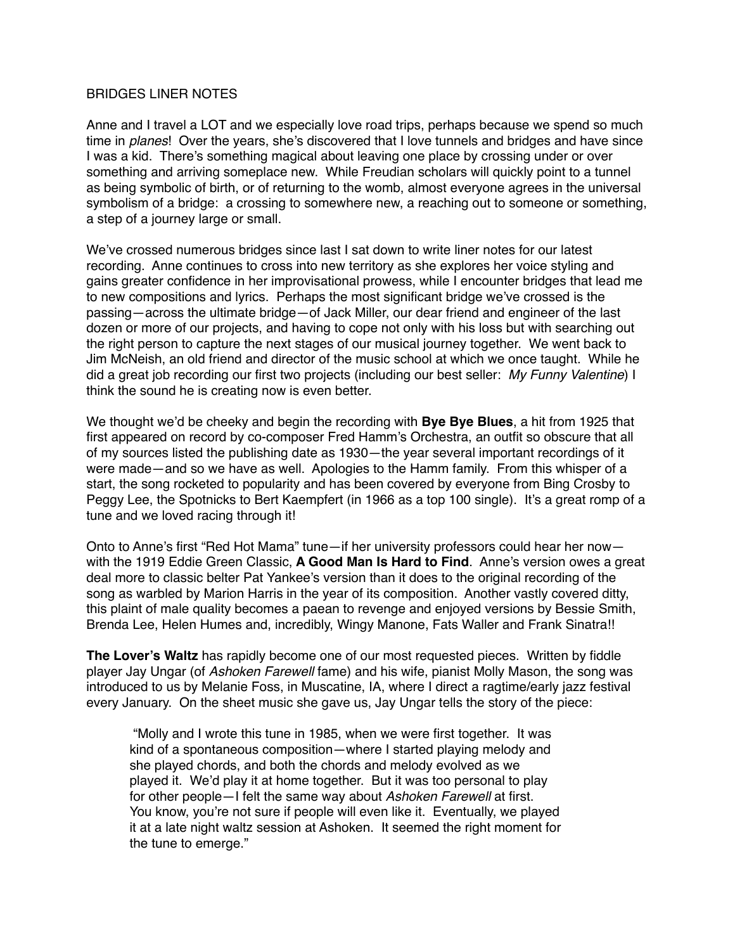## BRIDGES LINER NOTES

Anne and I travel a LOT and we especially love road trips, perhaps because we spend so much time in *planes*! Over the years, she's discovered that I love tunnels and bridges and have since I was a kid. There's something magical about leaving one place by crossing under or over something and arriving someplace new. While Freudian scholars will quickly point to a tunnel as being symbolic of birth, or of returning to the womb, almost everyone agrees in the universal symbolism of a bridge: a crossing to somewhere new, a reaching out to someone or something, a step of a journey large or small.

We've crossed numerous bridges since last I sat down to write liner notes for our latest recording. Anne continues to cross into new territory as she explores her voice styling and gains greater confidence in her improvisational prowess, while I encounter bridges that lead me to new compositions and lyrics. Perhaps the most significant bridge we've crossed is the passing—across the ultimate bridge—of Jack Miller, our dear friend and engineer of the last dozen or more of our projects, and having to cope not only with his loss but with searching out the right person to capture the next stages of our musical journey together. We went back to Jim McNeish, an old friend and director of the music school at which we once taught. While he did a great job recording our first two projects (including our best seller: *My Funny Valentine*) I think the sound he is creating now is even better.

We thought we'd be cheeky and begin the recording with **Bye Bye Blues**, a hit from 1925 that first appeared on record by co-composer Fred Hamm's Orchestra, an outfit so obscure that all of my sources listed the publishing date as 1930—the year several important recordings of it were made—and so we have as well. Apologies to the Hamm family. From this whisper of a start, the song rocketed to popularity and has been covered by everyone from Bing Crosby to Peggy Lee, the Spotnicks to Bert Kaempfert (in 1966 as a top 100 single). It's a great romp of a tune and we loved racing through it!

Onto to Anne's first "Red Hot Mama" tune—if her university professors could hear her now with the 1919 Eddie Green Classic, **A Good Man Is Hard to Find**. Anne's version owes a great deal more to classic belter Pat Yankee's version than it does to the original recording of the song as warbled by Marion Harris in the year of its composition. Another vastly covered ditty, this plaint of male quality becomes a paean to revenge and enjoyed versions by Bessie Smith, Brenda Lee, Helen Humes and, incredibly, Wingy Manone, Fats Waller and Frank Sinatra!!

**The Lover's Waltz** has rapidly become one of our most requested pieces. Written by fiddle player Jay Ungar (of *Ashoken Farewell* fame) and his wife, pianist Molly Mason, the song was introduced to us by Melanie Foss, in Muscatine, IA, where I direct a ragtime/early jazz festival every January. On the sheet music she gave us, Jay Ungar tells the story of the piece:

 "Molly and I wrote this tune in 1985, when we were first together. It was kind of a spontaneous composition—where I started playing melody and she played chords, and both the chords and melody evolved as we played it. We'd play it at home together. But it was too personal to play for other people—I felt the same way about *Ashoken Farewell* at first. You know, you're not sure if people will even like it. Eventually, we played it at a late night waltz session at Ashoken. It seemed the right moment for the tune to emerge."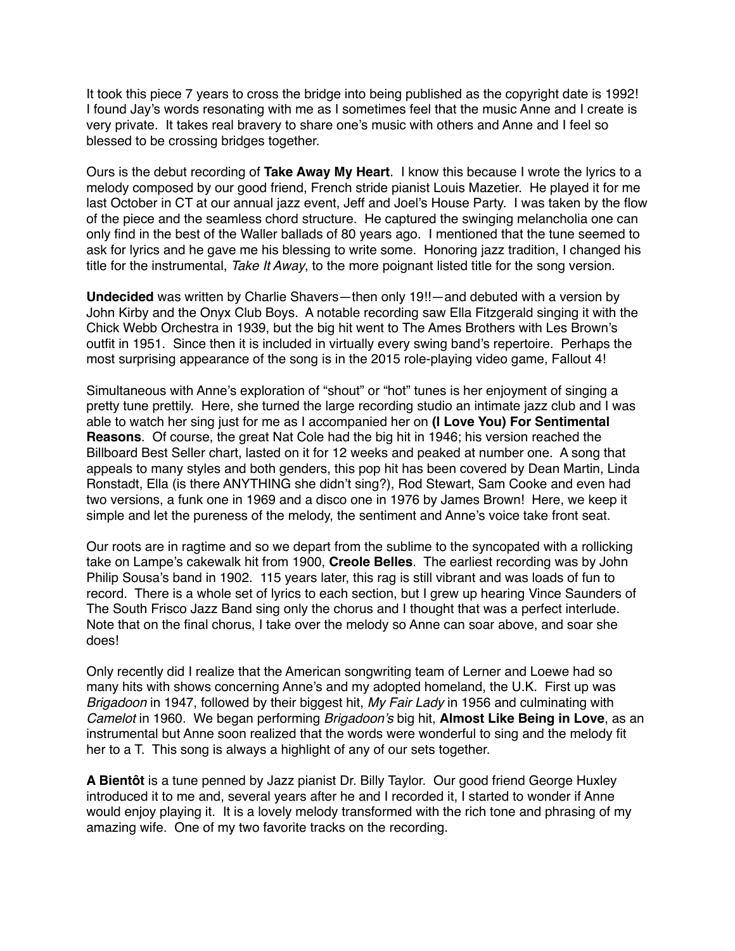It took this piece 7 years to cross the bridge into being published as the copyright date is 1992! I found Jay's words resonating with me as I sometimes feel that the music Anne and I create is very private. It takes real bravery to share one's music with others and Anne and I feel so blessed to be crossing bridges together.

Ours is the debut recording of **Take Away My Heart**. I know this because I wrote the lyrics to a melody composed by our good friend, French stride pianist Louis Mazetier. He played it for me last October in CT at our annual jazz event, Jeff and Joel's House Party. I was taken by the flow of the piece and the seamless chord structure. He captured the swinging melancholia one can only find in the best of the Waller ballads of 80 years ago. I mentioned that the tune seemed to ask for lyrics and he gave me his blessing to write some. Honoring jazz tradition, I changed his title for the instrumental, *Take It Away*, to the more poignant listed title for the song version.

**Undecided** was written by Charlie Shavers—then only 19!!—and debuted with a version by John Kirby and the Onyx Club Boys. A notable recording saw Ella Fitzgerald singing it with the Chick Webb Orchestra in 1939, but the big hit went to The Ames Brothers with Les Brown's outfit in 1951. Since then it is included in virtually every swing band's repertoire. Perhaps the most surprising appearance of the song is in the 2015 role-playing video game, Fallout 4!

Simultaneous with Anne's exploration of "shout" or "hot" tunes is her enjoyment of singing a pretty tune prettily. Here, she turned the large recording studio an intimate jazz club and I was able to watch her sing just for me as I accompanied her on **(I Love You) For Sentimental Reasons**. Of course, the great Nat Cole had the big hit in 1946; his version reached the Billboard Best Seller chart, lasted on it for 12 weeks and peaked at number one. A song that appeals to many styles and both genders, this pop hit has been covered by Dean Martin, Linda Ronstadt, Ella (is there ANYTHING she didn't sing?), Rod Stewart, Sam Cooke and even had two versions, a funk one in 1969 and a disco one in 1976 by James Brown! Here, we keep it simple and let the pureness of the melody, the sentiment and Anne's voice take front seat.

Our roots are in ragtime and so we depart from the sublime to the syncopated with a rollicking take on Lampe's cakewalk hit from 1900, **Creole Belles**. The earliest recording was by John Philip Sousa's band in 1902. 115 years later, this rag is still vibrant and was loads of fun to record. There is a whole set of lyrics to each section, but I grew up hearing Vince Saunders of The South Frisco Jazz Band sing only the chorus and I thought that was a perfect interlude. Note that on the final chorus, I take over the melody so Anne can soar above, and soar she does!

Only recently did I realize that the American songwriting team of Lerner and Loewe had so many hits with shows concerning Anne's and my adopted homeland, the U.K. First up was *Brigadoon* in 1947, followed by their biggest hit, *My Fair Lady* in 1956 and culminating with *Camelot* in 1960. We began performing *Brigadoon's* big hit, **Almost Like Being in Love**, as an instrumental but Anne soon realized that the words were wonderful to sing and the melody fit her to a T. This song is always a highlight of any of our sets together.

**A Bientôt** is a tune penned by Jazz pianist Dr. Billy Taylor. Our good friend George Huxley introduced it to me and, several years after he and I recorded it, I started to wonder if Anne would enjoy playing it. It is a lovely melody transformed with the rich tone and phrasing of my amazing wife. One of my two favorite tracks on the recording.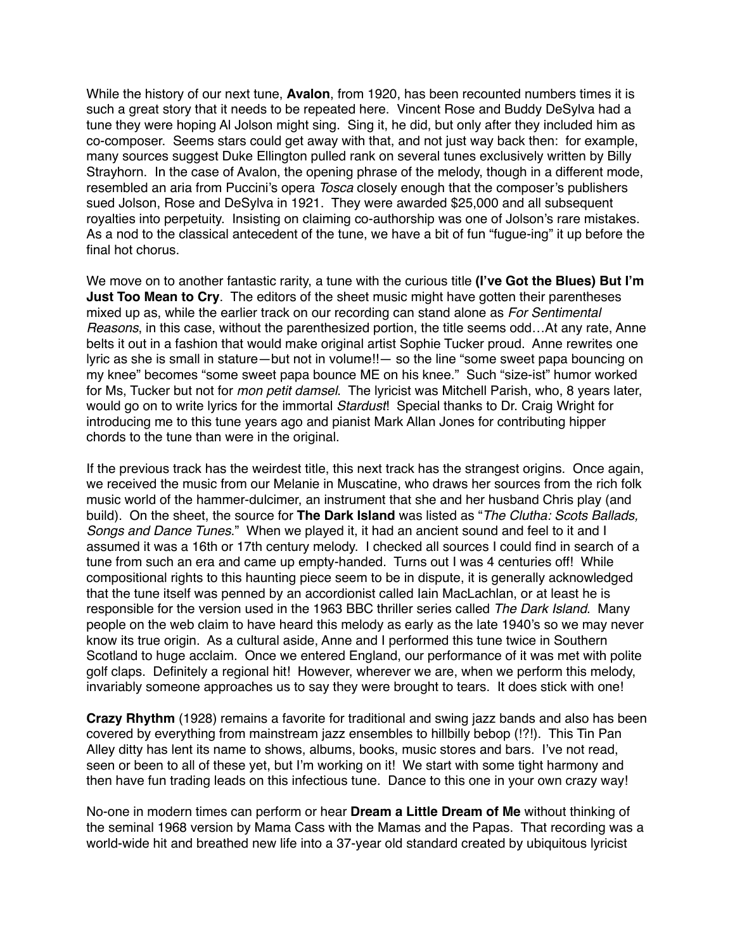While the history of our next tune, **Avalon**, from 1920, has been recounted numbers times it is such a great story that it needs to be repeated here. Vincent Rose and Buddy DeSylva had a tune they were hoping Al Jolson might sing. Sing it, he did, but only after they included him as co-composer. Seems stars could get away with that, and not just way back then: for example, many sources suggest Duke Ellington pulled rank on several tunes exclusively written by Billy Strayhorn. In the case of Avalon, the opening phrase of the melody, though in a different mode, resembled an aria from Puccini's opera *Tosca* closely enough that the composer's publishers sued Jolson, Rose and DeSylva in 1921. They were awarded \$25,000 and all subsequent royalties into perpetuity. Insisting on claiming co-authorship was one of Jolson's rare mistakes. As a nod to the classical antecedent of the tune, we have a bit of fun "fugue-ing" it up before the final hot chorus.

We move on to another fantastic rarity, a tune with the curious title **(I've Got the Blues) But I'm Just Too Mean to Cry**. The editors of the sheet music might have gotten their parentheses mixed up as, while the earlier track on our recording can stand alone as *For Sentimental Reasons*, in this case, without the parenthesized portion, the title seems odd…At any rate, Anne belts it out in a fashion that would make original artist Sophie Tucker proud. Anne rewrites one lyric as she is small in stature—but not in volume!!— so the line "some sweet papa bouncing on my knee" becomes "some sweet papa bounce ME on his knee." Such "size-ist" humor worked for Ms, Tucker but not for *mon petit damsel*. The lyricist was Mitchell Parish, who, 8 years later, would go on to write lyrics for the immortal *Stardust*! Special thanks to Dr. Craig Wright for introducing me to this tune years ago and pianist Mark Allan Jones for contributing hipper chords to the tune than were in the original.

If the previous track has the weirdest title, this next track has the strangest origins. Once again, we received the music from our Melanie in Muscatine, who draws her sources from the rich folk music world of the hammer-dulcimer, an instrument that she and her husband Chris play (and build). On the sheet, the source for **The Dark Island** was listed as "*The Clutha: Scots Ballads, Songs and Dance Tunes*." When we played it, it had an ancient sound and feel to it and I assumed it was a 16th or 17th century melody. I checked all sources I could find in search of a tune from such an era and came up empty-handed. Turns out I was 4 centuries off! While compositional rights to this haunting piece seem to be in dispute, it is generally acknowledged that the tune itself was penned by an accordionist called Iain MacLachlan, or at least he is responsible for the version used in the 1963 BBC thriller series called *The Dark Island*. Many people on the web claim to have heard this melody as early as the late 1940's so we may never know its true origin. As a cultural aside, Anne and I performed this tune twice in Southern Scotland to huge acclaim. Once we entered England, our performance of it was met with polite golf claps. Definitely a regional hit! However, wherever we are, when we perform this melody, invariably someone approaches us to say they were brought to tears. It does stick with one!

**Crazy Rhythm** (1928) remains a favorite for traditional and swing jazz bands and also has been covered by everything from mainstream jazz ensembles to hillbilly bebop (!?!). This Tin Pan Alley ditty has lent its name to shows, albums, books, music stores and bars. I've not read, seen or been to all of these yet, but I'm working on it! We start with some tight harmony and then have fun trading leads on this infectious tune. Dance to this one in your own crazy way!

No-one in modern times can perform or hear **Dream a Little Dream of Me** without thinking of the seminal 1968 version by Mama Cass with the Mamas and the Papas. That recording was a world-wide hit and breathed new life into a 37-year old standard created by ubiquitous lyricist